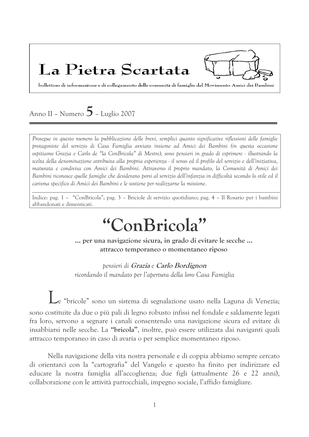## La Pietra Scartata

bollettino di informazione e di collegamento delle comunità di famiglie del Movimento Amici dei Bambini

## Anno II - Numero  $5$  - Luglio 2007

Prosegue in questo numero la pubblicazione delle brevi, semplici quanto significative riflessioni delle famiglie protagoniste del servizio di Casa Famiglia avviato insieme ad Amici dei Bambini (in questa occasione ospitiamo Grazia e Carlo de "la ConBricola" di Mestre); sono pensieri in grado di esprimere - illustrando la scelta della denominazione attribuita alla propria esperienza - il senso ed il profilo del servizio e dell'iniziativa, maturata e condivisa con Amici dei Bambini. Attraverso il proprio mandato, la Comunità di Amici dei Bambini riconosce quelle famiglie che desiderano porsi al servizio dell'infanzia in difficoltà secondo lo stile ed il carisma specifico di Amici dei Bambini e le sostiene per realizzarne la missione.

Indice: pag. 1 - "ConBricola"; pag. 3 - Briciole di servizio quotidiano; pag. 4 - Il Rosario per i bambini abbandonati e dimenticati.

# "ConBricola"

... per una navigazione sicura, in grado di evitare le secche ... attracco temporaneo o momentaneo riposo

pensieri di Grazia e Carlo Bordignon ricordando il mandato per l'apertura della loro Casa Famiglia

Le "bricole" sono un sistema di segnalazione usato nella Laguna di Venezia; sono costituite da due o più pali di legno robusto infissi nel fondale e saldamente legati fra loro, servono a segnare i canali consentendo una navigazione sicura ed evitare di insabbiarsi nelle secche. La "bricola", inoltre, può essere utilizzata dai naviganti quali attracco temporaneo in caso di avaria o per semplice momentaneo riposo.

Nella navigazione della vita nostra personale e di coppia abbiamo sempre cercato di orientarci con la "cartografia" del Vangelo e questo ha finito per indirizzare ed educare la nostra famiglia all'accoglienza; due figli (attualmente 26 e 22 anni), collaborazione con le attività parrocchiali, impegno sociale, l'affido famigliare.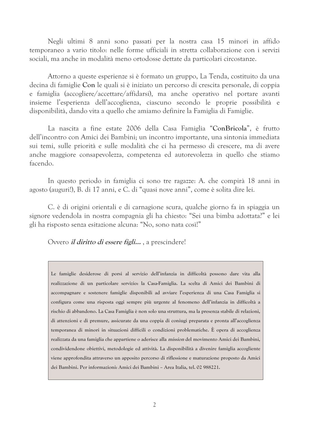Negli ultimi 8 anni sono passati per la nostra casa 15 minori in affido temporaneo a vario titolo: nelle forme ufficiali in stretta collaborazione con i servizi sociali, ma anche in modalità meno ortodosse dettate da particolari circostanze.

Attorno a queste esperienze si è formato un gruppo, La Tenda, costituito da una decina di famiglie Con le quali si è iniziato un percorso di crescita personale, di coppia e famiglia (accogliere/accettare/affidarsi), ma anche operativo nel portare avanti insieme l'esperienza dell'accoglienza, ciascuno secondo le proprie possibilità e disponibilità, dando vita a quello che amiamo definire la Famiglia di Famiglie.

La nascita a fine estate 2006 della Casa Famiglia "ConBricola", è frutto dell'incontro con Amici dei Bambini; un incontro importante, una sintonia immediata sui temi, sulle priorità e sulle modalità che ci ha permesso di crescere, ma di avere anche maggiore consapevolezza, competenza ed autorevolezza in quello che stiamo facendo.

In questo periodo in famiglia ci sono tre ragazze: A. che compirà 18 anni in agosto (auguri!), B. di 17 anni, e C. di "quasi nove anni", come è solita dire lei.

C, è di origini orientali e di carnagione scura, qualche giorno fa in spiaggia un signore vedendola in nostra compagnia gli ha chiesto: "Sei una bimba adottata?" e lei gli ha risposto senza esitazione alcuna: "No, sono nata così!"

Ovvero *il diritto di essere figli...*, a prescindere!

Le famiglie desiderose di porsi al servizio dell'infanzia in difficoltà possono dare vita alla realizzazione di un particolare servizio: la Casa-Famiglia. La scelta di Amici dei Bambini di accompagnare e sostenere famiglie disponibili ad avviare l'esperienza di una Casa Famiglia si configura come una risposta oggi sempre più urgente al fenomeno dell'infanzia in difficoltà a rischio di abbandono. La Casa Famiglia è non solo una struttura, ma la presenza stabile di relazioni, di attenzioni e di premure, assicurate da una coppia di coniugi preparata e pronta all'accoglienza temporanea di minori in situazioni difficili o condizioni problematiche. È opera di accoglienza realizzata da una famiglia che appartiene o aderisce alla *mission* del movimento Amici dei Bambini, condividendone obiettivi, metodologie ed attività. La disponibilità a divenire famiglia accogliente viene approfondita attraverso un apposito percorso di riflessione e maturazione proposto da Amici dei Bambini. Per informazioni: Amici dei Bambini - Area Italia, tel. 02 988221.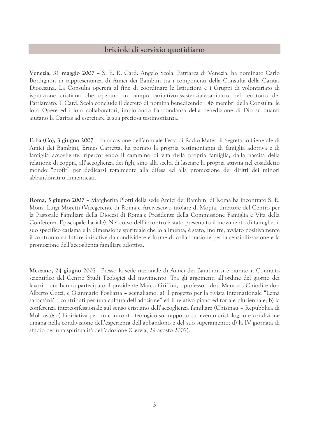## briciole di servizio quotidiano

Venezia, 31 maggio 2007 - S. E. R. Card. Angelo Scola, Patriarca di Venezia, ha nominato Carlo Bordignon in rappresentanza di Amici dei Bambini tra i componenti della Consulta della Caritas Diocesana. La Consulta opererà al fine di coordinare le Istituzioni e i Gruppi di volontariato di ispirazione cristiana che operano in campo caritativo-assistenziale-sanitario nel territorio del Patriarcato. Il Card. Scola conclude il decreto di nomina benedicendo i 46 membri della Consulta, le loro Opere ed i loro collaboratori, implorando l'abbondanza della benedizione di Dio su quanti aiutano la Caritas ad esercitare la sua preziosa testimonianza.

Erba (Co), 3 giugno 2007 - In occasione dell'annuale Festa di Radio Mater, il Segretario Generale di Amici dei Bambini, Ermes Carretta, ha portato la propria testimonianza di famiglia adottiva e di famiglia accogliente, ripercorrendo il cammino di vita della propria famiglia, dalla nascita della relazione di coppia, all'accoglienza dei figli, sino alla scelta di lasciare la propria attività nel cosiddetto mondo "profit" per dedicarsi totalmente alla difesa ed alla promozione dei diritti dei minori abbandonati o dimenticati.

Roma, 5 giugno 2007 - Margherita Plotti della sede Amici dei Bambini di Roma ha incontrato S. E. Mons. Luigi Moretti (Vicegerente di Roma e Arcivescovo titolare di Mopta, direttore del Centro per la Pastorale Familiare della Diocesi di Roma e Presidente della Commissione Famiglia e Vita della Conferenza Episcopale Laziale). Nel corso dell'incontro è stato presentato il movimento di famiglie, il suo specifico carisma e la dimensione spirituale che lo alimenta; è stato, inoltre, avviato positivamente il confronto su future iniziative da condividere e forme di collaborazione per la sensibilizzazione e la promozione dell'accoglienza familiare adottiva.

Mezzano, 24 giugno 2007- Presso la sede nazionale di Amici dei Bambini si è riunito il Comitato scientifico del Centro Studi Teologici del movimento. Tra gli argomenti all'ordine del giorno dei lavori – cui hanno partecipato il presidente Marco Griffini, i professori don Maurizio Chiodi e don Alberto Cozzi, e Gianmario Fogliazza – segnaliamo: a) il progetto per la rivista internazionale "Lemà sabactàni? - contributi per una cultura dell'adozione" ed il relativo piano editoriale pluriennale; b) la conferenza interconfessionale sul senso cristiano dell'accoglienza familiare (Chisinau – Repubblica di Moldova); c) l'iniziativa per un confronto teologico sul rapporto tra evento cristologico e condizione umana nella condivisione dell'esperienza dell'abbandono e del suo superamento; d) la IV giornata di studio per una spiritualità dell'adozione (Cervia, 29 agosto 2007).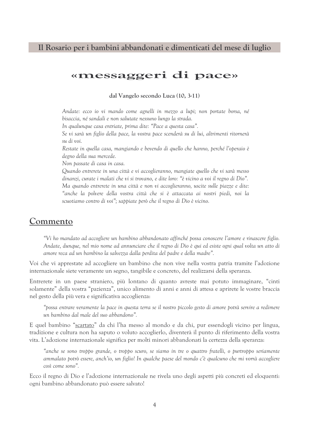## Il Rosario per i bambini abbandonati e dimenticati del mese di luglio

## «messaggeri di pace»

dal Vangelo secondo Luca (10, 3-11)

Andate: ecco io vi mando come agnelli in mezzo a lupi; non portate borsa, né bisaccia, né sandali e non salutate nessuno lungo la strada.

In qualunque casa entriate, prima dite: "Pace a questa casa".

Se vi sarà un figlio della pace, la vostra pace scenderà su di lui, altrimenti ritornerà su di voi.

Restate in quella casa, mangiando e bevendo di quello che hanno, perché l'operaio è degno della sua mercede.

Non passate di casa in casa.

Quando entrerete in una città e vi accoglieranno, mangiate quello che vi sarà messo dinanzi, curate i malati che vi si trovano, e dite loro: "è vicino a voi il regno di Dio". Ma quando entrerete in una città e non vi accoglieranno, uscite sulle piazze e dite: anche la polvere della vostra città che si è attaccata ai nostri piedi, noi la scuotiamo contro di voi"; sappiate però che il regno di Dio è vicino.

## Commento

"Vi ho mandato ad accogliere un bambino abbandonato affinché possa conoscere l'amore e rinascere figlio. Andate, dunque, nel mio nome ad annunciare che il regno di Dio è qui ed esiste ogni qual volta un atto di amore reca ad un bambino la salvezza dalla perdita del padre e della madre".

Voi che vi apprestate ad accogliere un bambino che non vive nella vostra patria tramite l'adozione internazionale siete veramente un segno, tangibile e concreto, del realizzarsi della speranza.

Entrerete in un paese straniero, più lontano di quanto avreste mai potuto immaginare, "cinti solamente" della vostra "pazienza", unico alimento di anni e anni di attesa e aprirete le vostre braccia nel gesto della più vera e significativa accoglienza:

"possa entrare veramente la pace in questa terra se il nostro piccolo gesto di amore potrà servire a redimere un bambino dal male del suo abbandono".

E quel bambino "scartato" da chi l'ha messo al mondo e da chi, pur essendogli vicino per lingua, tradizione e cultura non ha saputo o voluto accoglierlo, diventerà il punto di riferimento della vostra vita. L'adozione internazionale significa per molti minori abbandonati la certezza della speranza:

"anche se sono troppo grande, o troppo scuro, se siamo in tre o quattro fratelli, o purtroppo seriamente ammalato potrò essere, anch'io, un figlio! In qualche paese del mondo c'è qualcuno che mi vorrà accogliere così come sono".

Ecco il regno di Dio e l'adozione internazionale ne rivela uno degli aspetti più concreti ed eloquenti: ogni bambino abbandonato può essere salvato!